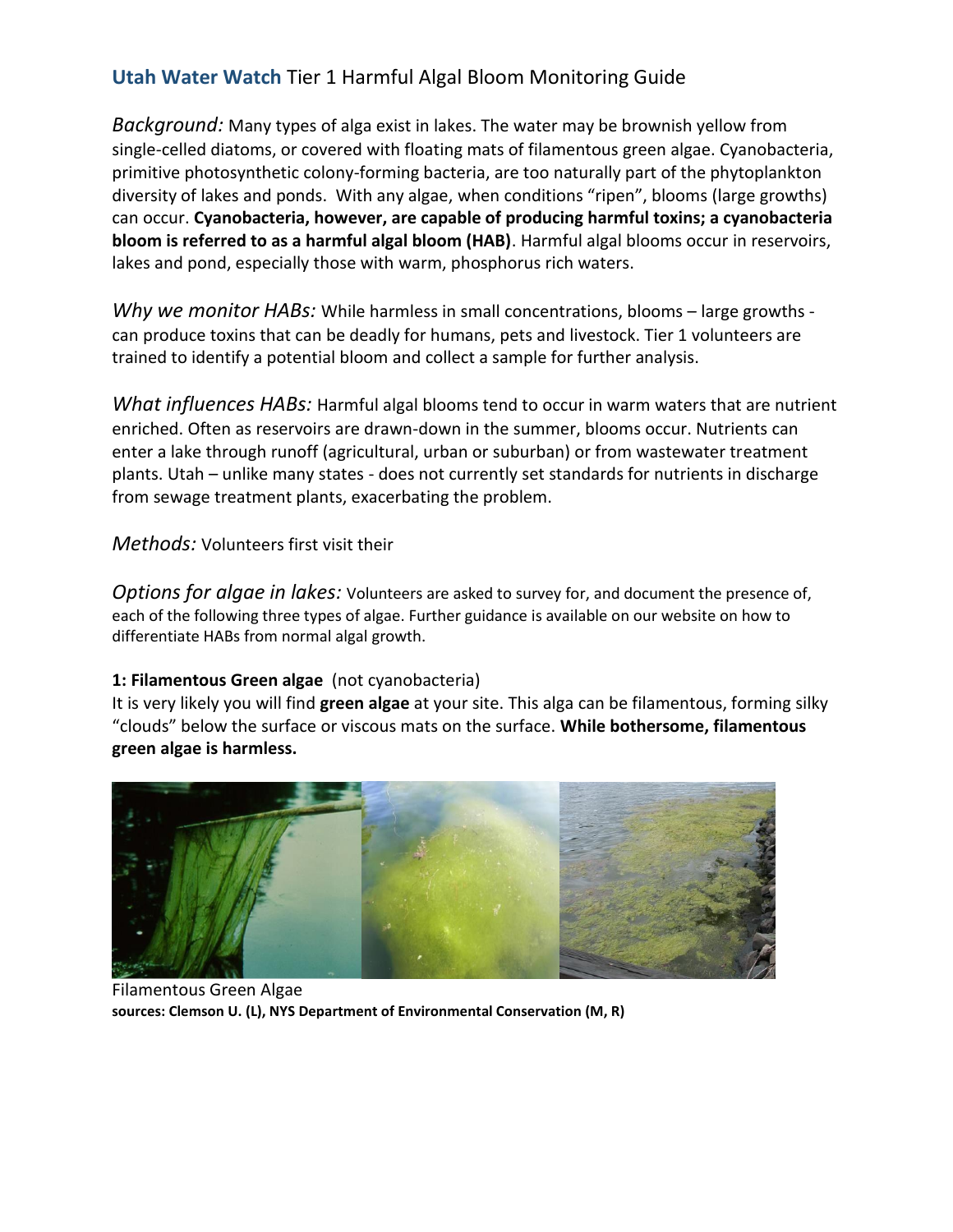# **Utah Water Watch** Tier 1 Harmful Algal Bloom Monitoring Guide

*Background:* Many types of alga exist in lakes. The water may be brownish yellow from single-celled diatoms, or covered with floating mats of filamentous green algae. Cyanobacteria, primitive photosynthetic colony-forming bacteria, are too naturally part of the phytoplankton diversity of lakes and ponds. With any algae, when conditions "ripen", blooms (large growths) can occur. **Cyanobacteria, however, are capable of producing harmful toxins; a cyanobacteria bloom is referred to as a harmful algal bloom (HAB)**. Harmful algal blooms occur in reservoirs, lakes and pond, especially those with warm, phosphorus rich waters.

*Why we monitor HABs:* While harmless in small concentrations, blooms – large growths can produce toxins that can be deadly for humans, pets and livestock. Tier 1 volunteers are trained to identify a potential bloom and collect a sample for further analysis.

*What influences HABs:* Harmful algal blooms tend to occur in warm waters that are nutrient enriched. Often as reservoirs are drawn-down in the summer, blooms occur. Nutrients can enter a lake through runoff (agricultural, urban or suburban) or from wastewater treatment plants. Utah – unlike many states - does not currently set standards for nutrients in discharge from sewage treatment plants, exacerbating the problem.

*Methods:* Volunteers first visit their

*Options for algae in lakes:* Volunteers are asked to survey for, and document the presence of, each of the following three types of algae. Further guidance is available on our website on how to differentiate HABs from normal algal growth.

#### **1: Filamentous Green algae** (not cyanobacteria)

It is very likely you will find **green algae** at your site. This alga can be filamentous, forming silky "clouds" below the surface or viscous mats on the surface. **While bothersome, filamentous green algae is harmless.**



Filamentous Green Algae **sources: Clemson U. (L), NYS Department of Environmental Conservation (M, R)**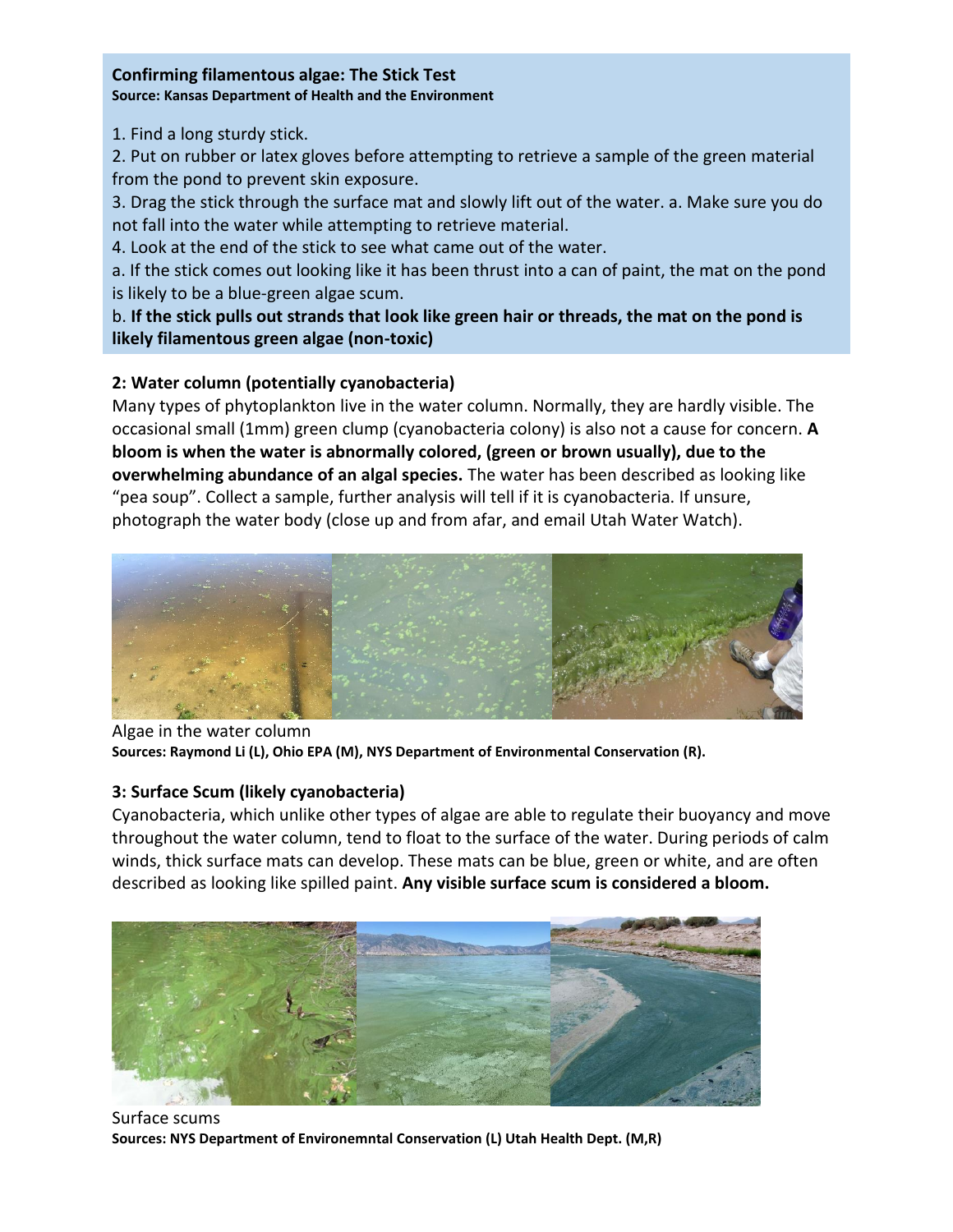# **Confirming filamentous algae: The Stick Test**

**Source: Kansas Department of Health and the Environment** 

1. Find a long sturdy stick.

2. Put on rubber or latex gloves before attempting to retrieve a sample of the green material from the pond to prevent skin exposure.

3. Drag the stick through the surface mat and slowly lift out of the water. a. Make sure you do not fall into the water while attempting to retrieve material.

4. Look at the end of the stick to see what came out of the water.

a. If the stick comes out looking like it has been thrust into a can of paint, the mat on the pond is likely to be a blue-green algae scum.

b. **If the stick pulls out strands that look like green hair or threads, the mat on the pond is likely filamentous green algae (non-toxic)**

#### **2: Water column (potentially cyanobacteria)**

Many types of phytoplankton live in the water column. Normally, they are hardly visible. The occasional small (1mm) green clump (cyanobacteria colony) is also not a cause for concern. **A bloom is when the water is abnormally colored, (green or brown usually), due to the overwhelming abundance of an algal species.** The water has been described as looking like "pea soup". Collect a sample, further analysis will tell if it is cyanobacteria. If unsure, photograph the water body (close up and from afar, and email Utah Water Watch).



Algae in the water column **Sources: Raymond Li (L), Ohio EPA (M), NYS Department of Environmental Conservation (R).** 

### **3: Surface Scum (likely cyanobacteria)**

Cyanobacteria, which unlike other types of algae are able to regulate their buoyancy and move throughout the water column, tend to float to the surface of the water. During periods of calm winds, thick surface mats can develop. These mats can be blue, green or white, and are often described as looking like spilled paint. **Any visible surface scum is considered a bloom.** 



Surface scums **Sources: NYS Department of Environemntal Conservation (L) Utah Health Dept. (M,R)**